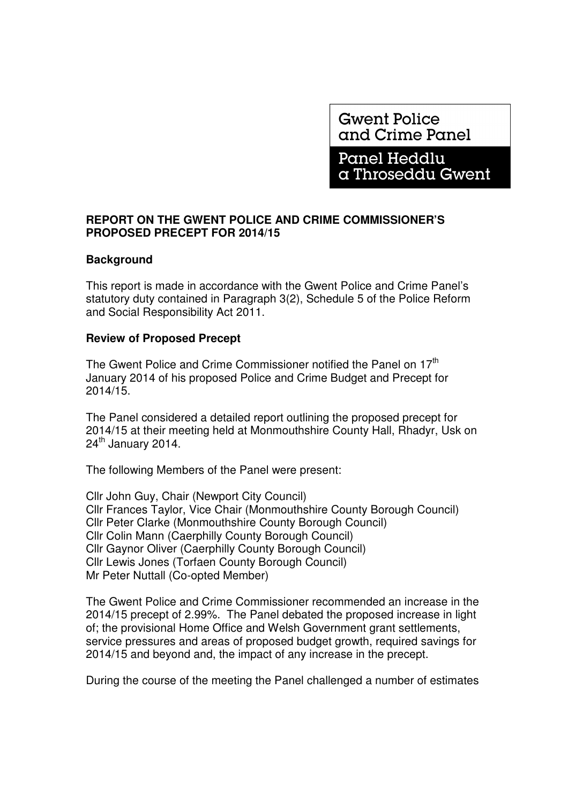**Gwent Police** and Crime Panel

**Panel Heddlu** a Throseddu Gwent

## **REPORT ON THE GWENT POLICE AND CRIME COMMISSIONER'S PROPOSED PRECEPT FOR 2014/15**

## **Background**

This report is made in accordance with the Gwent Police and Crime Panel's statutory duty contained in Paragraph 3(2), Schedule 5 of the Police Reform and Social Responsibility Act 2011.

## **Review of Proposed Precept**

The Gwent Police and Crime Commissioner notified the Panel on 17<sup>th</sup> January 2014 of his proposed Police and Crime Budget and Precept for 2014/15.

The Panel considered a detailed report outlining the proposed precept for 2014/15 at their meeting held at Monmouthshire County Hall, Rhadyr, Usk on  $24<sup>th</sup>$  January 2014.

The following Members of the Panel were present:

Cllr John Guy, Chair (Newport City Council) Cllr Frances Taylor, Vice Chair (Monmouthshire County Borough Council) Cllr Peter Clarke (Monmouthshire County Borough Council) Cllr Colin Mann (Caerphilly County Borough Council) Cllr Gaynor Oliver (Caerphilly County Borough Council) Cllr Lewis Jones (Torfaen County Borough Council) Mr Peter Nuttall (Co-opted Member)

The Gwent Police and Crime Commissioner recommended an increase in the 2014/15 precept of 2.99%. The Panel debated the proposed increase in light of; the provisional Home Office and Welsh Government grant settlements, service pressures and areas of proposed budget growth, required savings for 2014/15 and beyond and, the impact of any increase in the precept.

During the course of the meeting the Panel challenged a number of estimates